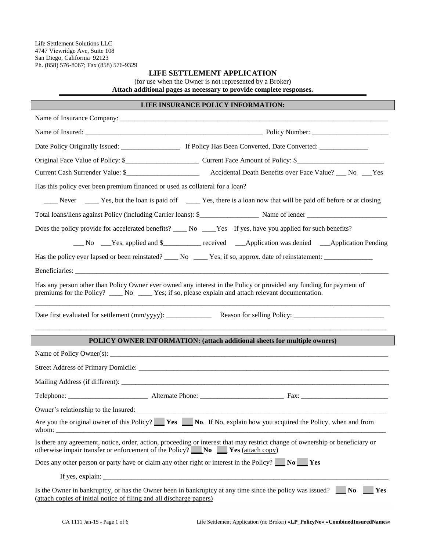Life Settlement Solutions LLC 4747 Viewridge Ave, Suite 108 San Diego, California 92123 Ph. (858) 576-8067; Fax (858) 576-9329

## **LIFE SETTLEMENT APPLICATION**

(for use when the Owner is not represented by a Broker)

**Attach additional pages as necessary to provide complete responses.**

# **LIFE INSURANCE POLICY INFORMATION:**

| Has this policy ever been premium financed or used as collateral for a loan?                                                                                                                                                  |  |  |  |  |  |  |  |
|-------------------------------------------------------------------------------------------------------------------------------------------------------------------------------------------------------------------------------|--|--|--|--|--|--|--|
| Never ________ Yes, but the loan is paid off ___________ Yes, there is a loan now that will be paid off before or at closing                                                                                                  |  |  |  |  |  |  |  |
|                                                                                                                                                                                                                               |  |  |  |  |  |  |  |
| Does the policy provide for accelerated benefits? ______ No _____Yes If yes, have you applied for such benefits?                                                                                                              |  |  |  |  |  |  |  |
| No Yes, applied and \$________ received _____Application was denied ____Application Pending                                                                                                                                   |  |  |  |  |  |  |  |
|                                                                                                                                                                                                                               |  |  |  |  |  |  |  |
|                                                                                                                                                                                                                               |  |  |  |  |  |  |  |
| Has any person other than Policy Owner ever owned any interest in the Policy or provided any funding for payment of<br>premiums for the Policy? _____ No ______ Yes; if so, please explain and attach relevant documentation. |  |  |  |  |  |  |  |
|                                                                                                                                                                                                                               |  |  |  |  |  |  |  |
| POLICY OWNER INFORMATION: (attach additional sheets for multiple owners)                                                                                                                                                      |  |  |  |  |  |  |  |
|                                                                                                                                                                                                                               |  |  |  |  |  |  |  |
|                                                                                                                                                                                                                               |  |  |  |  |  |  |  |
|                                                                                                                                                                                                                               |  |  |  |  |  |  |  |
|                                                                                                                                                                                                                               |  |  |  |  |  |  |  |
|                                                                                                                                                                                                                               |  |  |  |  |  |  |  |
| Are you the original owner of this Policy? Ves<br>No. If No, explain how you acquired the Policy, when and from<br>whom:                                                                                                      |  |  |  |  |  |  |  |
| Is there any agreement, notice, order, action, proceeding or interest that may restrict change of ownership or beneficiary or<br>otherwise impair transfer or enforcement of the Policy? No Nes (attach copy)                 |  |  |  |  |  |  |  |
| Does any other person or party have or claim any other right or interest in the Policy? $\blacksquare$ No $\blacksquare$ Yes                                                                                                  |  |  |  |  |  |  |  |
|                                                                                                                                                                                                                               |  |  |  |  |  |  |  |
| Is the Owner in bankruptcy, or has the Owner been in bankruptcy at any time since the policy was issued? $\Box$ No<br>Yes<br>(attach copies of initial notice of filing and all discharge papers)                             |  |  |  |  |  |  |  |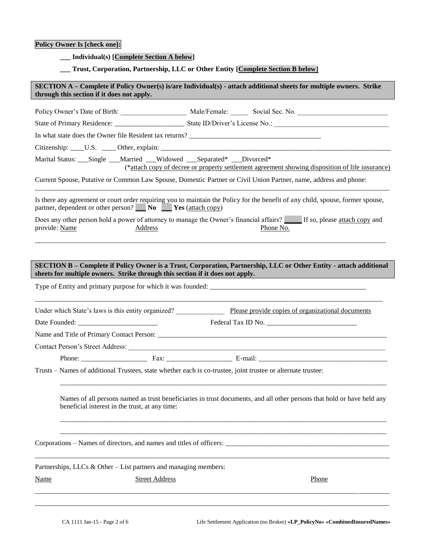# **Policy Owner Is [check one]:**

| <b>Individual(s)</b> [Complete Section A below] |
|-------------------------------------------------|
|-------------------------------------------------|

## **\_\_\_ Trust, Corporation, Partnership, LLC or Other Entity [***Complete Section B below***]**

|               | through this section if it does not apply.                                                                                                                                    |                                                                               |  | SECTION A – Complete if Policy Owner(s) is/are Individual(s) - attach additional sheets for multiple owners. Strike                |  |  |  |  |
|---------------|-------------------------------------------------------------------------------------------------------------------------------------------------------------------------------|-------------------------------------------------------------------------------|--|------------------------------------------------------------------------------------------------------------------------------------|--|--|--|--|
|               |                                                                                                                                                                               |                                                                               |  | Policy Owner's Date of Birth: Male/Female: Social Sec. No. ______________________                                                  |  |  |  |  |
|               |                                                                                                                                                                               |                                                                               |  |                                                                                                                                    |  |  |  |  |
|               | In what state does the Owner file Resident tax returns?                                                                                                                       |                                                                               |  |                                                                                                                                    |  |  |  |  |
|               |                                                                                                                                                                               |                                                                               |  |                                                                                                                                    |  |  |  |  |
|               | Marital Status: ___Single ___Married ___Widowed ___Separated* ___Divorced*<br>(*attach copy of decree or property settlement agreement showing disposition of life insurance) |                                                                               |  |                                                                                                                                    |  |  |  |  |
|               |                                                                                                                                                                               |                                                                               |  | Current Spouse, Putative or Common Law Spouse, Domestic Partner or Civil Union Partner, name, address and phone:                   |  |  |  |  |
|               |                                                                                                                                                                               | partner, dependent or other person? No New Yes (attach copy)                  |  | Is there any agreement or court order requiring you to maintain the Policy for the benefit of any child, spouse, former spouse,    |  |  |  |  |
| provide: Name |                                                                                                                                                                               | <b>Address</b>                                                                |  | Does any other person hold a power of attorney to manage the Owner's financial affairs? If so, please attach copy and<br>Phone No. |  |  |  |  |
|               |                                                                                                                                                                               |                                                                               |  |                                                                                                                                    |  |  |  |  |
|               |                                                                                                                                                                               | sheets for multiple owners. Strike through this section if it does not apply. |  | SECTION B – Complete if Policy Owner is a Trust, Corporation, Partnership, LLC or Other Entity - attach additional                 |  |  |  |  |
|               |                                                                                                                                                                               |                                                                               |  |                                                                                                                                    |  |  |  |  |
|               |                                                                                                                                                                               |                                                                               |  |                                                                                                                                    |  |  |  |  |
|               |                                                                                                                                                                               |                                                                               |  | Under which State's laws is this entity organized? Please provide copies of organizational documents                               |  |  |  |  |
|               |                                                                                                                                                                               |                                                                               |  |                                                                                                                                    |  |  |  |  |
|               |                                                                                                                                                                               |                                                                               |  |                                                                                                                                    |  |  |  |  |
|               |                                                                                                                                                                               |                                                                               |  |                                                                                                                                    |  |  |  |  |
|               |                                                                                                                                                                               |                                                                               |  | Trusts – Names of additional Trustees, state whether each is co-trustee, joint trustee or alternate trustee:                       |  |  |  |  |
|               | beneficial interest in the trust, at any time:                                                                                                                                |                                                                               |  | Names of all persons named as trust beneficiaries in trust documents, and all other persons that hold or have held any             |  |  |  |  |
|               |                                                                                                                                                                               |                                                                               |  |                                                                                                                                    |  |  |  |  |
|               |                                                                                                                                                                               | Partnerships, LLCs & Other – List partners and managing members:              |  |                                                                                                                                    |  |  |  |  |
| <b>Name</b>   |                                                                                                                                                                               | <b>Street Address</b>                                                         |  | Phone                                                                                                                              |  |  |  |  |
|               |                                                                                                                                                                               |                                                                               |  |                                                                                                                                    |  |  |  |  |

\_\_\_\_\_\_\_\_\_\_\_\_\_\_\_\_\_\_\_\_\_\_\_\_\_\_\_\_\_\_\_\_\_\_\_\_\_\_\_\_\_\_\_\_\_\_\_\_\_\_\_\_\_\_\_\_\_\_\_\_\_\_\_\_\_\_\_\_\_\_\_\_\_\_\_\_\_\_\_\_\_\_\_\_\_\_\_\_\_\_\_\_\_\_\_\_\_\_\_\_\_\_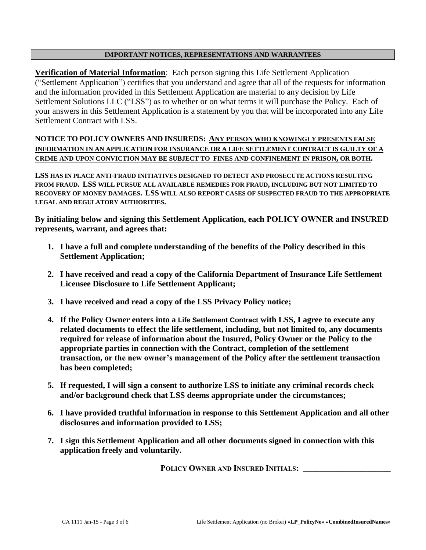## **IMPORTANT NOTICES, REPRESENTATIONS AND WARRANTEES**

**Verification of Material Information:** Each person signing this Life Settlement Application ("Settlement Application") certifies that you understand and agree that all of the requests for information and the information provided in this Settlement Application are material to any decision by Life Settlement Solutions LLC ("LSS") as to whether or on what terms it will purchase the Policy. Each of your answers in this Settlement Application is a statement by you that will be incorporated into any Life Settlement Contract with LSS.

**NOTICE TO POLICY OWNERS AND INSUREDS:** *<sup>U</sup>***ANY PERSON WHO KNOWINGLY PRESENTS FALSE INFORMATION IN AN APPLICATION FOR INSURANCE OR A LIFE SETTLEMENT CONTRACT IS GUILTY OF A**  CRIME AND UPON CONVICTION MAY BE SUBJECT TO FINES AND CONFINEMENT IN PRISON, OR BOTH.

**LSS HAS IN PLACE ANTI-FRAUD INITIATIVES DESIGNED TO DETECT AND PROSECUTE ACTIONS RESULTING FROM FRAUD. LSS WILL PURSUE ALL AVAILABLE REMEDIES FOR FRAUD, INCLUDING BUT NOT LIMITED TO RECOVERY OF MONEY DAMAGES. LSS WILL ALSO REPORT CASES OF SUSPECTED FRAUD TO THE APPROPRIATE LEGAL AND REGULATORY AUTHORITIES.** 

**By initialing below and signing this Settlement Application, each POLICY OWNER and INSURED represents, warrant, and agrees that:**

- **1. I have a full and complete understanding of the benefits of the Policy described in this Settlement Application;**
- **2. I have received and read a copy of the California Department of Insurance Life Settlement Licensee Disclosure to Life Settlement Applicant;**
- **3. I have received and read a copy of the LSS Privacy Policy notice;**
- **4. If the Policy Owner enters into a Life Settlement Contract with LSS, I agree to execute any related documents to effect the life settlement, including, but not limited to, any documents required for release of information about the Insured, Policy Owner or the Policy to the appropriate parties in connection with the Contract, completion of the settlement transaction, or the new owner's management of the Policy after the settlement transaction has been completed;**
- **5. If requested, I will sign a consent to authorize LSS to initiate any criminal records check and/or background check that LSS deems appropriate under the circumstances;**
- **6. I have provided truthful information in response to this Settlement Application and all other disclosures and information provided to LSS;**
- **7. I sign this Settlement Application and all other documents signed in connection with this application freely and voluntarily.**

**POLICY OWNER AND INSURED INITIALS: \_\_\_\_\_\_\_\_\_\_\_\_\_\_\_\_\_\_\_\_\_**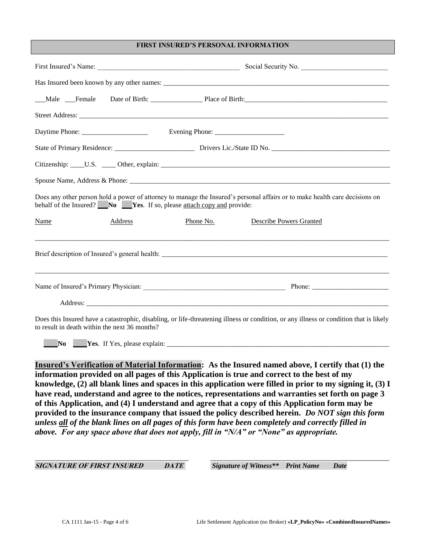### **FIRST INSURED'S PERSONAL INFORMATION**

|                                               |         |                                                                       | Male Female Date of Birth: Place of Birth:                                                                                             |
|-----------------------------------------------|---------|-----------------------------------------------------------------------|----------------------------------------------------------------------------------------------------------------------------------------|
|                                               |         |                                                                       |                                                                                                                                        |
|                                               |         |                                                                       |                                                                                                                                        |
|                                               |         |                                                                       |                                                                                                                                        |
|                                               |         |                                                                       |                                                                                                                                        |
|                                               |         |                                                                       |                                                                                                                                        |
|                                               |         | behalf of the Insured? No Ves. If so, please attach copy and provide: | Does any other person hold a power of attorney to manage the Insured's personal affairs or to make health care decisions on            |
| Name                                          | Address | Phone No.                                                             | <b>Describe Powers Granted</b>                                                                                                         |
|                                               |         |                                                                       |                                                                                                                                        |
|                                               |         |                                                                       |                                                                                                                                        |
|                                               |         |                                                                       |                                                                                                                                        |
| to result in death within the next 36 months? |         |                                                                       | Does this Insured have a catastrophic, disabling, or life-threatening illness or condition, or any illness or condition that is likely |
| <b>No</b>                                     |         |                                                                       | <b>The Ves.</b> If Yes, please explain:                                                                                                |

*<sup>U</sup>***Insured's Verification of Material Information***U***: As the Insured named above, I certify that (1) the information provided on all pages of this Application is true and correct to the best of my knowledge, (2) all blank lines and spaces in this application were filled in prior to my signing it, (3) I have read, understand and agree to the notices, representations and warranties set forth on page 3 of this Application, and (4) I understand and agree that a copy of this Application form may be provided to the insurance company that issued the policy described herein.** *Do NOT sign this form unless all of the blank lines on all pages of this form have been completely and correctly filled in above. For any space above that does not apply, fill in "N/A" or "None" as appropriate.*

\_\_\_\_\_\_\_\_\_\_\_\_\_\_\_\_\_\_\_\_\_\_\_\_\_\_\_\_\_\_\_\_\_\_\_\_\_\_\_\_\_\_ \_\_\_\_\_\_\_\_\_\_\_\_\_\_\_\_\_\_\_\_\_\_\_\_\_\_\_\_\_\_\_\_\_\_\_\_\_\_\_\_\_\_\_\_\_\_\_\_\_

*0B***SIGNATURE OF FIRST INSURED DATE** *Signature of Witness\*\* Print Name Date*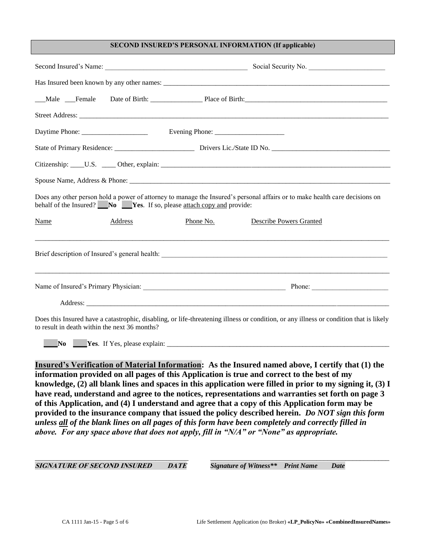### **SECOND INSURED'S PERSONAL INFORMATION (If applicable)**

|                                                                       | Social Security No.                                                                                                                    |  |  |  |  |  |  |
|-----------------------------------------------------------------------|----------------------------------------------------------------------------------------------------------------------------------------|--|--|--|--|--|--|
|                                                                       |                                                                                                                                        |  |  |  |  |  |  |
|                                                                       |                                                                                                                                        |  |  |  |  |  |  |
|                                                                       |                                                                                                                                        |  |  |  |  |  |  |
|                                                                       |                                                                                                                                        |  |  |  |  |  |  |
|                                                                       |                                                                                                                                        |  |  |  |  |  |  |
|                                                                       |                                                                                                                                        |  |  |  |  |  |  |
|                                                                       |                                                                                                                                        |  |  |  |  |  |  |
| behalf of the Insured? No Yes. If so, please attach copy and provide: | Does any other person hold a power of attorney to manage the Insured's personal affairs or to make health care decisions on            |  |  |  |  |  |  |
| <b>Name</b><br>Address                                                | Phone No.<br>Describe Powers Granted                                                                                                   |  |  |  |  |  |  |
|                                                                       |                                                                                                                                        |  |  |  |  |  |  |
|                                                                       |                                                                                                                                        |  |  |  |  |  |  |
|                                                                       |                                                                                                                                        |  |  |  |  |  |  |
| to result in death within the next 36 months?                         | Does this Insured have a catastrophic, disabling, or life-threatening illness or condition, or any illness or condition that is likely |  |  |  |  |  |  |
|                                                                       |                                                                                                                                        |  |  |  |  |  |  |

*<sup>U</sup>***Insured's Verification of Material Information***U***: As the Insured named above, I certify that (1) the information provided on all pages of this Application is true and correct to the best of my knowledge, (2) all blank lines and spaces in this application were filled in prior to my signing it, (3) I have read, understand and agree to the notices, representations and warranties set forth on page 3 of this Application, and (4) I understand and agree that a copy of this Application form may be provided to the insurance company that issued the policy described herein.** *Do NOT sign this form unless all of the blank lines on all pages of this form have been completely and correctly filled in above. For any space above that does not apply, fill in "N/A" or "None" as appropriate.*

\_\_\_\_\_\_\_\_\_\_\_\_\_\_\_\_\_\_\_\_\_\_\_\_\_\_\_\_\_\_\_\_\_\_\_\_\_\_\_\_\_\_ \_\_\_\_\_\_\_\_\_\_\_\_\_\_\_\_\_\_\_\_\_\_\_\_\_\_\_\_\_\_\_\_\_\_\_\_\_\_\_\_\_\_\_\_\_\_\_\_\_

*1B***SIGNATURE OF SECOND INSURED DATE** *Signature of Witness\*\* Print Name Date*